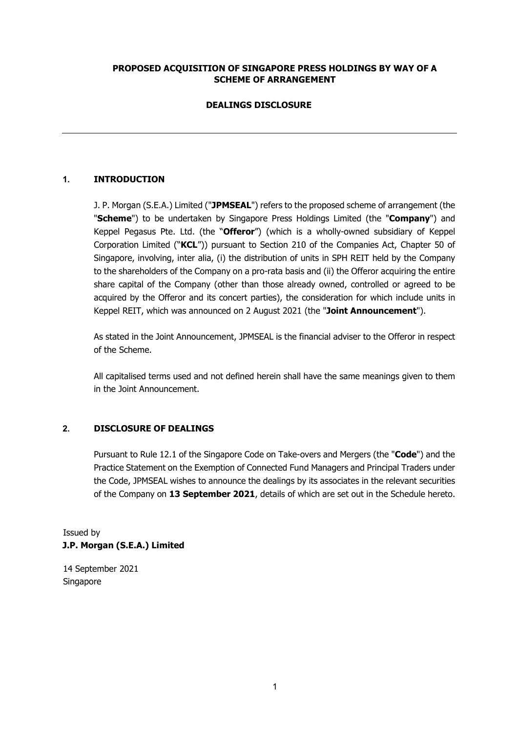# **PROPOSED ACQUISITION OF SINGAPORE PRESS HOLDINGS BY WAY OF A SCHEME OF ARRANGEMENT**

# **DEALINGS DISCLOSURE**

# **1. INTRODUCTION**

J. P. Morgan (S.E.A.) Limited ("**JPMSEAL**") refers to the proposed scheme of arrangement (the "**Scheme**") to be undertaken by Singapore Press Holdings Limited (the "**Company**") and Keppel Pegasus Pte. Ltd. (the "**Offeror**") (which is a wholly-owned subsidiary of Keppel Corporation Limited ("**KCL**")) pursuant to Section 210 of the Companies Act, Chapter 50 of Singapore, involving, inter alia, (i) the distribution of units in SPH REIT held by the Company to the shareholders of the Company on a pro-rata basis and (ii) the Offeror acquiring the entire share capital of the Company (other than those already owned, controlled or agreed to be acquired by the Offeror and its concert parties), the consideration for which include units in Keppel REIT, which was announced on 2 August 2021 (the "**Joint Announcement**").

As stated in the Joint Announcement, JPMSEAL is the financial adviser to the Offeror in respect of the Scheme.

All capitalised terms used and not defined herein shall have the same meanings given to them in the Joint Announcement.

### **2. DISCLOSURE OF DEALINGS**

Pursuant to Rule 12.1 of the Singapore Code on Take-overs and Mergers (the "**Code**") and the Practice Statement on the Exemption of Connected Fund Managers and Principal Traders under the Code, JPMSEAL wishes to announce the dealings by its associates in the relevant securities of the Company on **13 September 2021**, details of which are set out in the Schedule hereto.

Issued by **J.P. Morgan (S.E.A.) Limited** 

14 September 2021 Singapore